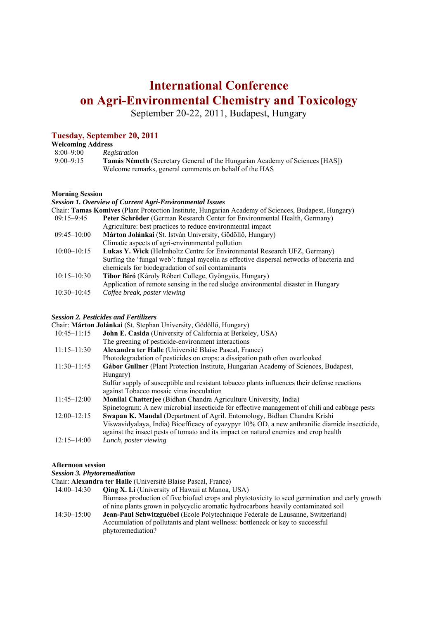# **International Conference on Agri-Environmental Chemistry and Toxicology**

September 20-22, 2011, Budapest, Hungary

### **Tuesday, September 20, 2011**

#### **Welcoming Address**

| $8:00 - 9:00$ | Registration                                                                       |
|---------------|------------------------------------------------------------------------------------|
| $9:00-9:15$   | <b>Tamás Németh</b> (Secretary General of the Hungarian Academy of Sciences [HAS]) |
|               | Welcome remarks, general comments on behalf of the HAS                             |

#### **Morning Session**

#### *Session 1. Overview of Current Agri-Environmental Issues*

| Chair: Tamas Komives (Plant Protection Institute, Hungarian Academy of Sciences, Budapest, Hungary) |                                                                                          |  |
|-----------------------------------------------------------------------------------------------------|------------------------------------------------------------------------------------------|--|
| $09:15 - 9:45$                                                                                      | Peter Schröder (German Research Center for Environmental Health, Germany)                |  |
|                                                                                                     | Agriculture: best practices to reduce environmental impact                               |  |
| $09:45 - 10:00$                                                                                     | Márton Jolánkai (St. István University, Gödöllő, Hungary)                                |  |
|                                                                                                     | Climatic aspects of agri-environmental pollution                                         |  |
| $10:00 - 10:15$                                                                                     | Lukas Y. Wick (Helmholtz Centre for Environmental Research UFZ, Germany)                 |  |
|                                                                                                     | Surfing the 'fungal web': fungal mycelia as effective dispersal networks of bacteria and |  |
|                                                                                                     | chemicals for biodegradation of soil contaminants                                        |  |
| $10:15 - 10:30$                                                                                     | Tibor Bíró (Károly Róbert College, Gyöngyös, Hungary)                                    |  |
|                                                                                                     | Application of remote sensing in the red sludge environmental disaster in Hungary        |  |
| $10:30 - 10:45$                                                                                     | Coffee break, poster viewing                                                             |  |
|                                                                                                     |                                                                                          |  |

#### *Session 2. Pesticides and Fertilizers*

Chair: **Márton Jolánkai** (St. Stephan University, Gödöllő, Hungary) John E. Casida (University of California at Berkeley, USA) The greening of pesticide-environment interactions 11:15–11:30 **Alexandra ter Halle** (Université Blaise Pascal, France) Photodegradation of pesticides on crops: a dissipation path often overlooked 11:30–11:45 **Gábor Gullner** (Plant Protection Institute, Hungarian Academy of Sciences, Budapest, Hungary) Sulfur supply of susceptible and resistant tobacco plants influences their defense reactions against Tobacco mosaic virus inoculation 11:45–12:00 **Monilal Chatterjee** (Bidhan Chandra Agriculture University, India) Spinetogram: A new microbial insecticide for effective management of chili and cabbage pests 12:00–12:15 **Swapan K. Mandal** (Department of Agril. Entomology, Bidhan Chandra Krishi Viswavidyalaya, India) Bioefficacy of cyazypyr 10% OD, a new anthranilic diamide insecticide, against the insect pests of tomato and its impact on natural enemies and crop health 12:15–14:00 *Lunch, poster viewing*

#### **Afternoon session**

#### *Session 3. Phytoremediation*

Chair: **Alexandra ter Halle** (Université Blaise Pascal, France)

- 14:00–14:30 **Qing X. Li** (University of Hawaii at Manoa, USA) Biomass production of five biofuel crops and phytotoxicity to seed germination and early growth of nine plants grown in polycyclic aromatic hydrocarbons heavily contaminated soil 14:30–15:00 **Jean-Paul Schwitzguébel** (Ecole Polytechnique Federale de Lausanne, Switzerland)
- Accumulation of pollutants and plant wellness: bottleneck or key to successful phytoremediation?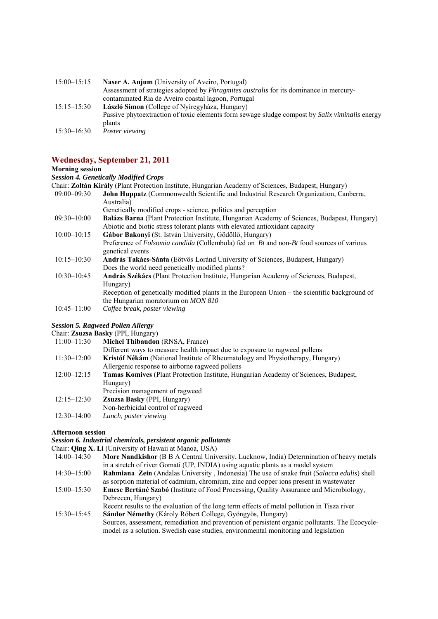| $15:00 - 15:15$ | <b>Naser A. Anjum</b> (University of Aveiro, Portugal)                                         |
|-----------------|------------------------------------------------------------------------------------------------|
|                 | Assessment of strategies adopted by <i>Phragmites australis</i> for its dominance in mercury-  |
|                 | contaminated Ria de Aveiro coastal lagoon, Portugal                                            |
| $15:15 - 15:30$ | László Simon (College of Nyíregyháza, Hungary)                                                 |
|                 | Passive phytoextraction of toxic elements form sewage sludge compost by Salix viminalis energy |
|                 | plants                                                                                         |
| $15:30 - 16:30$ | Poster viewing                                                                                 |

### **Wednesday, September 21, 2011**

#### **Morning session**

*Session 4. Genetically Modified Crops* 

|                 | Chair: <b>Zoltán Király</b> (Plant Protection Institute, Hungarian Academy of Sciences, Budapest, Hungary)     |
|-----------------|----------------------------------------------------------------------------------------------------------------|
| $09:00 - 09:30$ | <b>John Huppatz</b> (Commonwealth Scientific and Industrial Research Organization, Canberra,                   |
|                 | Australia)                                                                                                     |
|                 | Genetically modified crops - science, politics and perception                                                  |
| $09:30 - 10:00$ | <b>Balázs Barna</b> (Plant Protection Institute, Hungarian Academy of Sciences, Budapest, Hungary)             |
|                 | Abiotic and biotic stress tolerant plants with elevated antioxidant capacity                                   |
| $10:00 - 10:15$ | Gábor Bakonyi (St. István University, Gödöllő, Hungary)                                                        |
|                 | Preference of <i>Folsomia candida</i> (Collembola) fed on <i>Bt</i> and non- <i>Bt</i> food sources of various |
|                 | genetical events                                                                                               |
| $10:15 - 10:30$ | <b>András Takács-Sánta</b> (Eötvös Loránd University of Sciences, Budapest, Hungary)                           |
|                 | Does the world need genetically modified plants?                                                               |
| $10:30 - 10:45$ | András Székács (Plant Protection Institute, Hungarian Academy of Sciences, Budapest,                           |
|                 | Hungary)                                                                                                       |
|                 | Reception of genetically modified plants in the European Union – the scientific background of                  |
|                 | the Hungarian moratorium on <i>MON 810</i>                                                                     |
| $10:45 - 11:00$ | Coffee break, poster viewing                                                                                   |

#### *Session 5. Ragweed Pollen Allergy*

Chair: **Zsuzsa Basky** (PPI, Hungary)<br>11:00-11:30 **Michel Thibaudon** 

- **Michel Thibaudon** (RNSA, France)
	- Different ways to measure health impact due to exposure to ragweed pollens
- 11:30–12:00 **Kristóf Nékám** (National Institute of Rheumatology and Physiotherapy, Hungary)
	- Allergenic response to airborne ragweed pollens
- 12:00–12:15 **Tamas Komives** (Plant Protection Institute, Hungarian Academy of Sciences, Budapest, Hungary)
	- Precision management of ragweed
- 12:15–12:30 **Zsuzsa Basky** (PPI, Hungary)
- Non-herbicidal control of ragweed
- 12:30–14:00 *Lunch, poster viewing*

#### **Afternoon session**

#### *Session 6. Industrial chemicals, persistent organic pollutants*

Chair: **Qing X. Li** (University of Hawaii at Manoa, USA)

- 14:00–14:30 **More Nandkishor** (B B A Central University, Lucknow, India) Determination of heavy metals in a stretch of river Gomati (UP, INDIA) using aquatic plants as a model system
- 14:30–15:00 **Rahmiana Zein** (Andalas University , Indonesia) The use of snake fruit (*Salacca edulis*) shell as sorption material of cadmium, chromium, zinc and copper ions present in wastewater
- 15:00–15:30 **Emese Bertáné Szabó** (Institute of Food Processing, Quality Assurance and Microbiology, Debrecen, Hungary) Recent results to the evaluation of the long term effects of metal pollution in Tisza river
- 15:30–15:45 **Sándor Némethy** (Károly Róbert College, Gyöngyös, Hungary) Sources, assessment, remediation and prevention of persistent organic pollutants. The Ecocyclemodel as a solution. Swedish case studies, environmental monitoring and legislation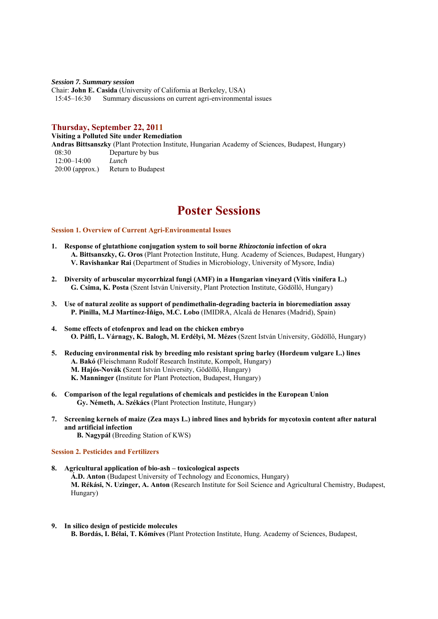*Session 7. Summary session*  Chair: **John E. Casida** (University of California at Berkeley, USA) 15:45–16:30 Summary discussions on current agri-environmental issues

#### **Thursday, September 22, 2011**

**Visiting a Polluted Site under Remediation Andras Bittsanszky** (Plant Protection Institute, Hungarian Academy of Sciences, Budapest, Hungary) 08:30 Departure by bus 12:00–14:00 *Lunch* 20:00 (approx.) Return to Budapest

# **Poster Sessions**

#### **Session 1. Overview of Current Agri-Environmental Issues**

- **1. Response of glutathione conjugation system to soil borne** *Rhizoctonia* **infection of okra A. Bittsanszky, G. Oros** (Plant Protection Institute, Hung. Academy of Sciences, Budapest, Hungary) **V. Ravishankar Rai** (Department of Studies in Microbiology, University of Mysore, India)
- **2. Diversity of arbuscular mycorrhizal fungi (AMF) in a Hungarian vineyard (Vitis vinifera L.) G. Csima, K. Posta** (Szent István University, Plant Protection Institute, Gödöllő, Hungary)
- **3. Use of natural zeolite as support of pendimethalin-degrading bacteria in bioremediation assay P. Pinilla, M.J Martínez-Íñigo, M.C. Lobo** (IMIDRA, Alcalá de Henares (Madrid), Spain)
- **4. Some effects of etofenprox and lead on the chicken embryo O. Pálfi, L. Várnagy, K. Balogh, M. Erdélyi, M. Mézes** (Szent István University, Gödöllő, Hungary)
- **5. Reducing environmental risk by breeding mlo resistant spring barley (Hordeum vulgare L.) lines A. Bakó (**Fleischmann Rudolf Research Institute, Kompolt, Hungary) **M. Hajós-Novák (**Szent István University, Gödöllő, Hungary) **K. Manninger (**Institute for Plant Protection, Budapest, Hungary)
- **6. Comparison of the legal regulations of chemicals and pesticides in the European Union Gy. Németh, A. Székács** (Plant Protection Institute, Hungary)
- **7. Screening kernels of maize (Zea mays L.) inbred lines and hybrids for mycotoxin content after natural and artificial infection**

**B. Nagypál** (Breeding Station of KWS)

#### **Session 2. Pesticides and Fertilizers**

- **8. Agricultural application of bio-ash toxicological aspects Á.D. Anton** (Budapest University of Technology and Economics, Hungary) **M. Rékási, N. Uzinger, A. Anton** (Research Institute for Soil Science and Agricultural Chemistry, Budapest, Hungary)
- **9. In silico design of pesticide molecules B. Bordás, I. Bélai, T. Kőmíves** (Plant Protection Institute, Hung. Academy of Sciences, Budapest,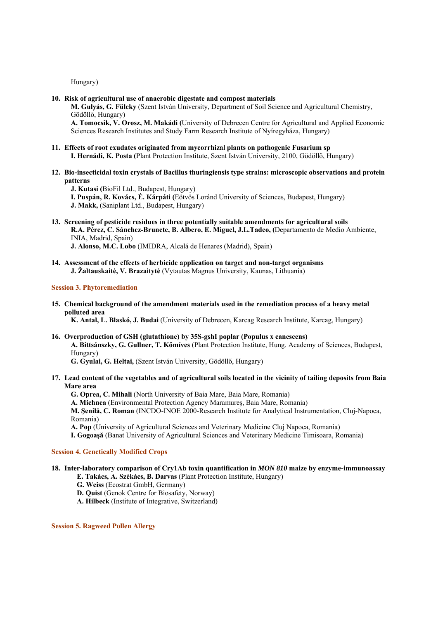Hungary)

#### **10. Risk of agricultural use of anaerobic digestate and compost materials**

**M. Gulyás, G. Füleky** (Szent István University, Department of Soil Science and Agricultural Chemistry, Gödöllő, Hungary)

**A. Tomocsik, V. Orosz, M. Makádi (**University of Debrecen Centre for Agricultural and Applied Economic Sciences Research Institutes and Study Farm Research Institute of Nyíregyháza, Hungary)

# **11. Effects of root exudates originated from mycorrhizal plants on pathogenic Fusarium sp**

- **I. Hernádi, K. Posta (**Plant Protection Institute, Szent István University, 2100, Gödöllő, Hungary)
- **12. Bio-insecticidal toxin crystals of Bacillus thuringiensis type strains: microscopic observations and protein patterns**

**J. Kutasi (**BioFil Ltd., Budapest, Hungary)

**I. Puspán, R. Kovács, É. Kárpáti (**Eötvös Loránd University of Sciences, Budapest, Hungary)

**J. Makk,** (Saniplant Ltd., Budapest, Hungary)

**13. Screening of pesticide residues in three potentially suitable amendments for agricultural soils R.A. Pérez, C. Sánchez-Brunete, B. Albero, E. Miguel, J.L.Tadeo, (**Departamento de Medio Ambiente, INIA, Madrid, Spain)

**J. Alonso, M.C. Lobo** (IMIDRA, Alcalá de Henares (Madrid), Spain)

**14. Assessment of the effects of herbicide application on target and non-target organisms J. Žaltauskaitė, V. Brazaitytė** (Vytautas Magnus University, Kaunas, Lithuania)

#### **Session 3. Phytoremediation**

**15. Chemical background of the amendment materials used in the remediation process of a heavy metal polluted area** 

**K. Antal, L. Blaskó, J. Budai** (University of Debrecen, Karcag Research Institute, Karcag, Hungary)

**16. Overproduction of GSH (glutathione) by 35S-gshI poplar (Populus x canescens) A. Bittsánszky, G. Gullner, T. Kőmíves** (Plant Protection Institute, Hung. Academy of Sciences, Budapest, Hungary)

**G. Gyulai, G. Heltai,** (Szent István University, Gödöllő, Hungary)

**17. Lead content of the vegetables and of agricultural soils located in the vicinity of tailing deposits from Baia Mare area** 

**G. Oprea, C. Mihali** (North University of Baia Mare, Baia Mare, Romania)

**A. Michnea** (Environmental Protection Agency Maramureş, Baia Mare, Romania)

**M. Şenilă, C. Roman** (INCDO-INOE 2000-Research Institute for Analytical Instrumentation, Cluj-Napoca, Romania)

**A. Pop** (University of Agricultural Sciences and Veterinary Medicine Cluj Napoca, Romania)

**I. Gogoaşă** (Banat University of Agricultural Sciences and Veterinary Medicine Timisoara, Romania)

#### **Session 4. Genetically Modified Crops**

## **18. Inter-laboratory comparison of Cry1Ab toxin quantification in** *MON 810* **maize by enzyme-immunoassay**

**E. Takács, A. Székács, B. Darvas** (Plant Protection Institute, Hungary)

- **G. Weiss** (Ecostrat GmbH, Germany)
- **D. Quist** (Genok Centre for Biosafety, Norway)

**A. Hilbeck** (Institute of Integrative, Switzerland)

**Session 5. Ragweed Pollen Allergy**